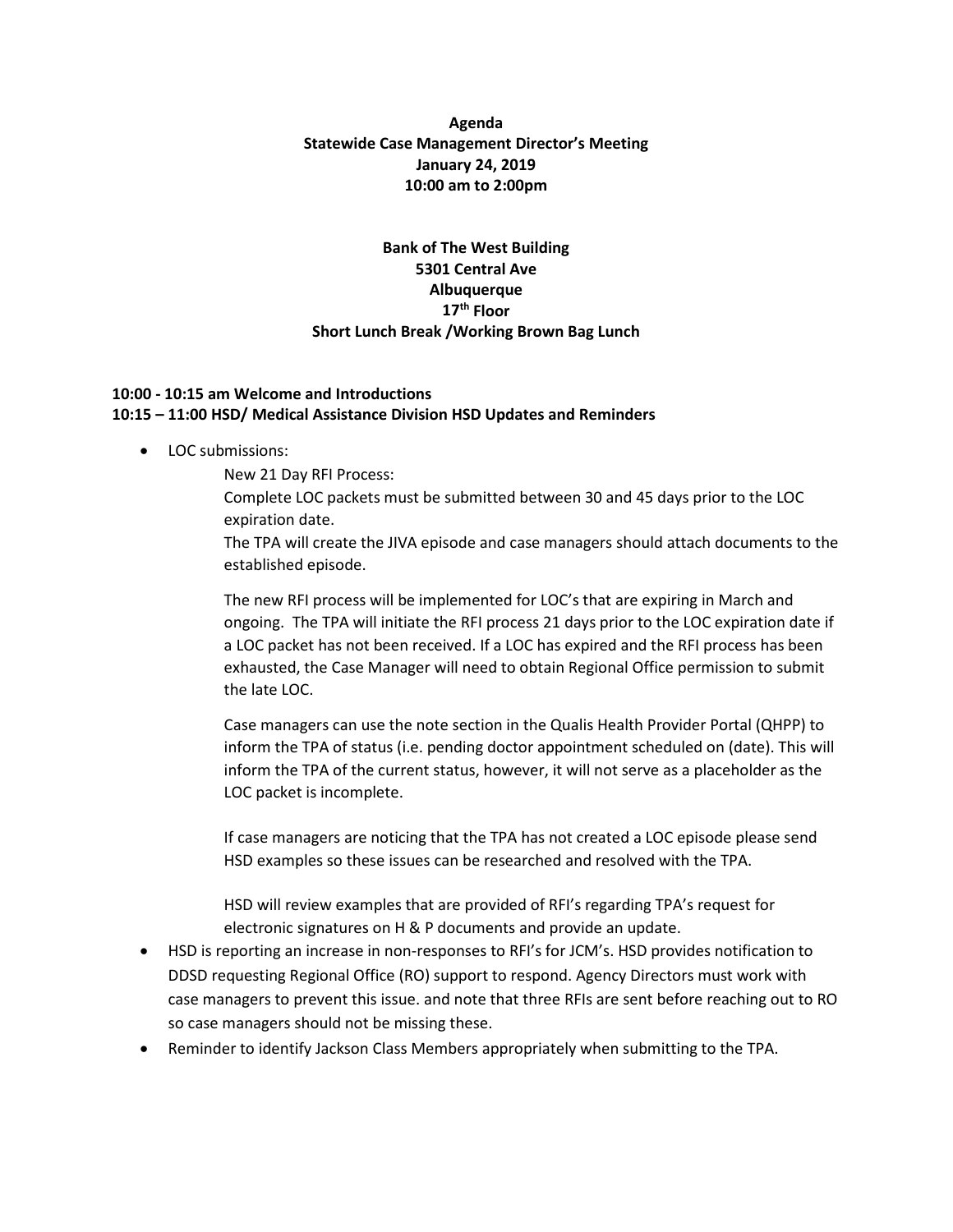### **Agenda Statewide Case Management Director's Meeting January 24, 2019 10:00 am to 2:00pm**

## **Bank of The West Building 5301 Central Ave Albuquerque 17th Floor Short Lunch Break /Working Brown Bag Lunch**

### **10:00 - 10:15 am Welcome and Introductions 10:15 – 11:00 HSD/ Medical Assistance Division HSD Updates and Reminders**

• LOC submissions:

New 21 Day RFI Process:

Complete LOC packets must be submitted between 30 and 45 days prior to the LOC expiration date.

The TPA will create the JIVA episode and case managers should attach documents to the established episode.

The new RFI process will be implemented for LOC's that are expiring in March and ongoing. The TPA will initiate the RFI process 21 days prior to the LOC expiration date if a LOC packet has not been received. If a LOC has expired and the RFI process has been exhausted, the Case Manager will need to obtain Regional Office permission to submit the late LOC.

Case managers can use the note section in the Qualis Health Provider Portal (QHPP) to inform the TPA of status (i.e. pending doctor appointment scheduled on (date). This will inform the TPA of the current status, however, it will not serve as a placeholder as the LOC packet is incomplete.

If case managers are noticing that the TPA has not created a LOC episode please send HSD examples so these issues can be researched and resolved with the TPA.

HSD will review examples that are provided of RFI's regarding TPA's request for electronic signatures on H & P documents and provide an update.

- HSD is reporting an increase in non-responses to RFI's for JCM's. HSD provides notification to DDSD requesting Regional Office (RO) support to respond. Agency Directors must work with case managers to prevent this issue. and note that three RFIs are sent before reaching out to RO so case managers should not be missing these.
- Reminder to identify Jackson Class Members appropriately when submitting to the TPA.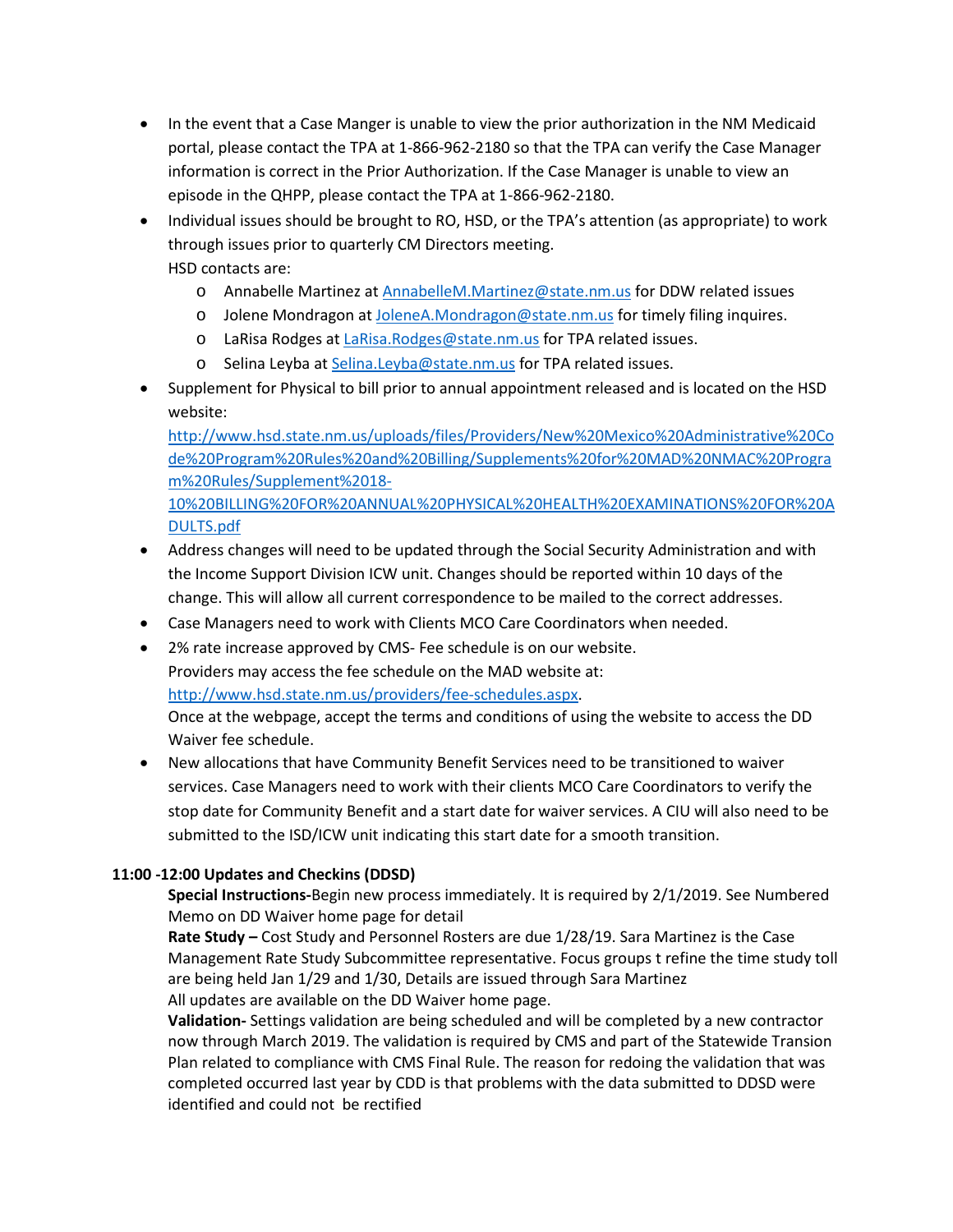- In the event that a Case Manger is unable to view the prior authorization in the NM Medicaid portal, please contact the TPA at 1-866-962-2180 so that the TPA can verify the Case Manager information is correct in the Prior Authorization. If the Case Manager is unable to view an episode in the QHPP, please contact the TPA at 1-866-962-2180.
- Individual issues should be brought to RO, HSD, or the TPA's attention (as appropriate) to work through issues prior to quarterly CM Directors meeting. HSD contacts are:
	- o Annabelle Martinez a[t AnnabelleM.Martinez@state.nm.us](mailto:AnnabelleM.Martinez@state.nm.us) for DDW related issues
	- o Jolene Mondragon a[t JoleneA.Mondragon@state.nm.us](mailto:JoleneA.Mondragon@state.nm.us) for timely filing inquires.
	- o LaRisa Rodges at [LaRisa.Rodges@state.nm.us](mailto:LaRisa.Rodges@state.nm.us) for TPA related issues.
	- o Selina Leyba at [Selina.Leyba@state.nm.us](mailto:Selina.Leyba@state.nm.us) for TPA related issues.
- Supplement for Physical to bill prior to annual appointment released and is located on the HSD website:

[http://www.hsd.state.nm.us/uploads/files/Providers/New%20Mexico%20Administrative%20Co](http://www.hsd.state.nm.us/uploads/files/Providers/New%20Mexico%20Administrative%20Code%20Program%20Rules%20and%20Billing/Supplements%20for%20MAD%20NMAC%20Program%20Rules/Supplement%2018-10%20BILLING%20FOR%20ANNUAL%20PHYSICAL%20HEALTH%20EXAMINATIONS%20FOR%20ADULTS.pdf) [de%20Program%20Rules%20and%20Billing/Supplements%20for%20MAD%20NMAC%20Progra](http://www.hsd.state.nm.us/uploads/files/Providers/New%20Mexico%20Administrative%20Code%20Program%20Rules%20and%20Billing/Supplements%20for%20MAD%20NMAC%20Program%20Rules/Supplement%2018-10%20BILLING%20FOR%20ANNUAL%20PHYSICAL%20HEALTH%20EXAMINATIONS%20FOR%20ADULTS.pdf) [m%20Rules/Supplement%2018-](http://www.hsd.state.nm.us/uploads/files/Providers/New%20Mexico%20Administrative%20Code%20Program%20Rules%20and%20Billing/Supplements%20for%20MAD%20NMAC%20Program%20Rules/Supplement%2018-10%20BILLING%20FOR%20ANNUAL%20PHYSICAL%20HEALTH%20EXAMINATIONS%20FOR%20ADULTS.pdf)

[10%20BILLING%20FOR%20ANNUAL%20PHYSICAL%20HEALTH%20EXAMINATIONS%20FOR%20A](http://www.hsd.state.nm.us/uploads/files/Providers/New%20Mexico%20Administrative%20Code%20Program%20Rules%20and%20Billing/Supplements%20for%20MAD%20NMAC%20Program%20Rules/Supplement%2018-10%20BILLING%20FOR%20ANNUAL%20PHYSICAL%20HEALTH%20EXAMINATIONS%20FOR%20ADULTS.pdf) [DULTS.pdf](http://www.hsd.state.nm.us/uploads/files/Providers/New%20Mexico%20Administrative%20Code%20Program%20Rules%20and%20Billing/Supplements%20for%20MAD%20NMAC%20Program%20Rules/Supplement%2018-10%20BILLING%20FOR%20ANNUAL%20PHYSICAL%20HEALTH%20EXAMINATIONS%20FOR%20ADULTS.pdf)

- Address changes will need to be updated through the Social Security Administration and with the Income Support Division ICW unit. Changes should be reported within 10 days of the change. This will allow all current correspondence to be mailed to the correct addresses.
- Case Managers need to work with Clients MCO Care Coordinators when needed.
- 2% rate increase approved by CMS- Fee schedule is on our website. Providers may access the fee schedule on the MAD website at: [http://www.hsd.state.nm.us/providers/fee-schedules.aspx.](http://www.hsd.state.nm.us/providers/fee-schedules.aspx) Once at the webpage, accept the terms and conditions of using the website to access the DD Waiver fee schedule.
- New allocations that have Community Benefit Services need to be transitioned to waiver services. Case Managers need to work with their clients MCO Care Coordinators to verify the stop date for Community Benefit and a start date for waiver services. A CIU will also need to be submitted to the ISD/ICW unit indicating this start date for a smooth transition.

#### **11:00 -12:00 Updates and Checkins (DDSD)**

**Special Instructions-**Begin new process immediately. It is required by 2/1/2019. See Numbered Memo on DD Waiver home page for detail

**Rate Study –** Cost Study and Personnel Rosters are due 1/28/19. Sara Martinez is the Case Management Rate Study Subcommittee representative. Focus groups t refine the time study toll are being held Jan 1/29 and 1/30, Details are issued through Sara Martinez All updates are available on the DD Waiver home page.

**Validation-** Settings validation are being scheduled and will be completed by a new contractor now through March 2019. The validation is required by CMS and part of the Statewide Transion Plan related to compliance with CMS Final Rule. The reason for redoing the validation that was completed occurred last year by CDD is that problems with the data submitted to DDSD were identified and could not be rectified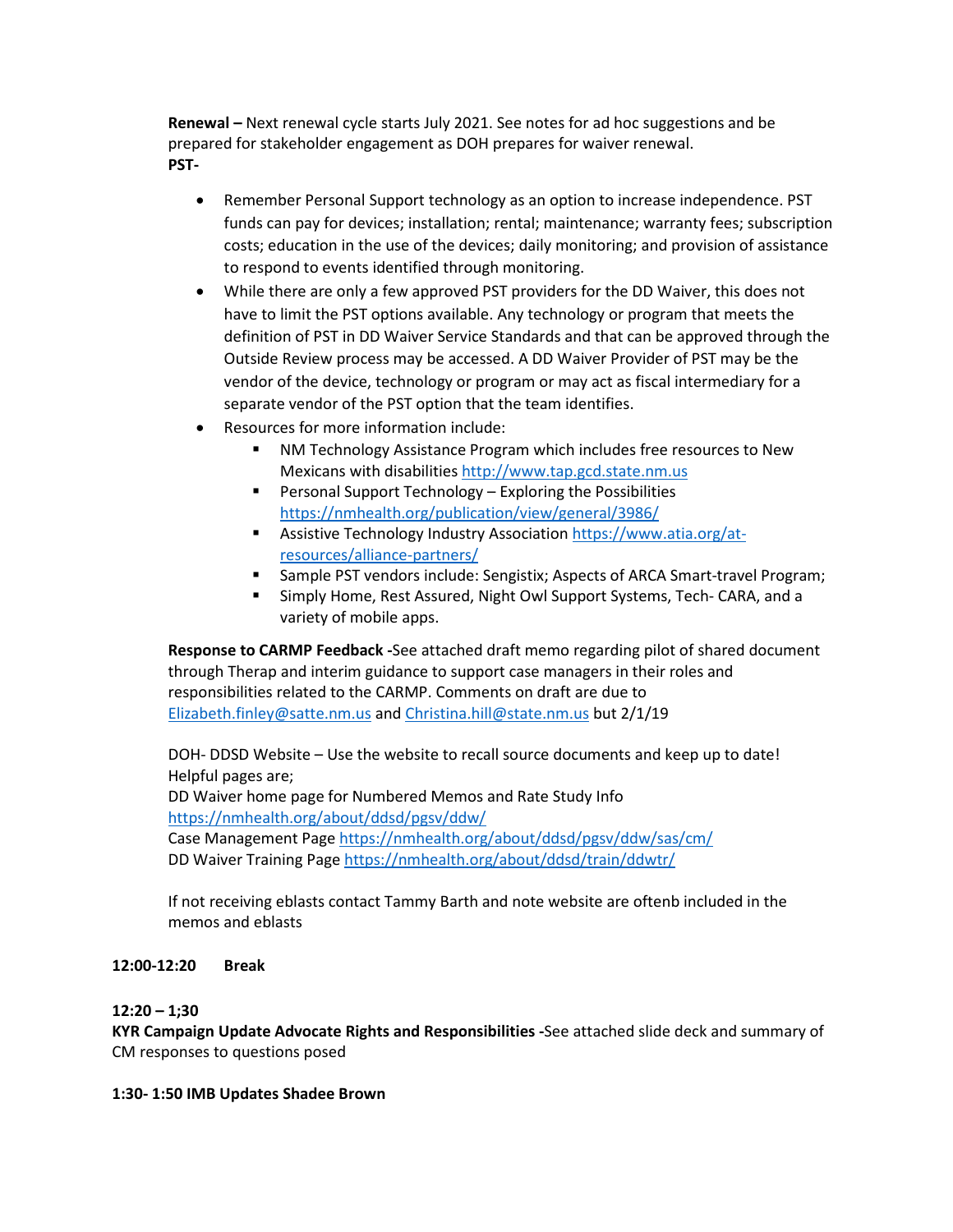**Renewal –** Next renewal cycle starts July 2021. See notes for ad hoc suggestions and be prepared for stakeholder engagement as DOH prepares for waiver renewal. **PST-**

- Remember Personal Support technology as an option to increase independence. PST funds can pay for devices; installation; rental; maintenance; warranty fees; subscription costs; education in the use of the devices; daily monitoring; and provision of assistance to respond to events identified through monitoring.
- While there are only a few approved PST providers for the DD Waiver, this does not have to limit the PST options available. Any technology or program that meets the definition of PST in DD Waiver Service Standards and that can be approved through the Outside Review process may be accessed. A DD Waiver Provider of PST may be the vendor of the device, technology or program or may act as fiscal intermediary for a separate vendor of the PST option that the team identifies.
- Resources for more information include:
	- NM Technology Assistance Program which includes free resources to New Mexicans with disabilitie[s http://www.tap.gcd.state.nm.us](http://www.tap.gcd.state.nm.us/)
	- Personal Support Technology Exploring the Possibilities <https://nmhealth.org/publication/view/general/3986/>
	- **Assistive Technology Industry Associatio[n https://www.atia.org/at](https://www.atia.org/at-resources/alliance-partners/)**[resources/alliance-partners/](https://www.atia.org/at-resources/alliance-partners/)
	- Sample PST vendors include: Sengistix; Aspects of ARCA Smart-travel Program;
	- **EXEDENT Simply Home, Rest Assured, Night Owl Support Systems, Tech- CARA, and a** variety of mobile apps.

**Response to CARMP Feedback -**See attached draft memo regarding pilot of shared document through Therap and interim guidance to support case managers in their roles and responsibilities related to the CARMP. Comments on draft are due to [Elizabeth.finley@satte.nm.us](mailto:Elizabeth.finley@satte.nm.us) an[d Christina.hill@state.nm.us](mailto:Christina.hill@state.nm.us) but 2/1/19

DOH- DDSD Website – Use the website to recall source documents and keep up to date! Helpful pages are;

DD Waiver home page for Numbered Memos and Rate Study Info <https://nmhealth.org/about/ddsd/pgsv/ddw/>

Case Management Page<https://nmhealth.org/about/ddsd/pgsv/ddw/sas/cm/> DD Waiver Training Page<https://nmhealth.org/about/ddsd/train/ddwtr/>

If not receiving eblasts contact Tammy Barth and note website are oftenb included in the memos and eblasts

#### **12:00-12:20 Break**

#### **12:20 – 1;30**

**KYR Campaign Update Advocate Rights and Responsibilities -**See attached slide deck and summary of CM responses to questions posed

**1:30- 1:50 IMB Updates Shadee Brown**